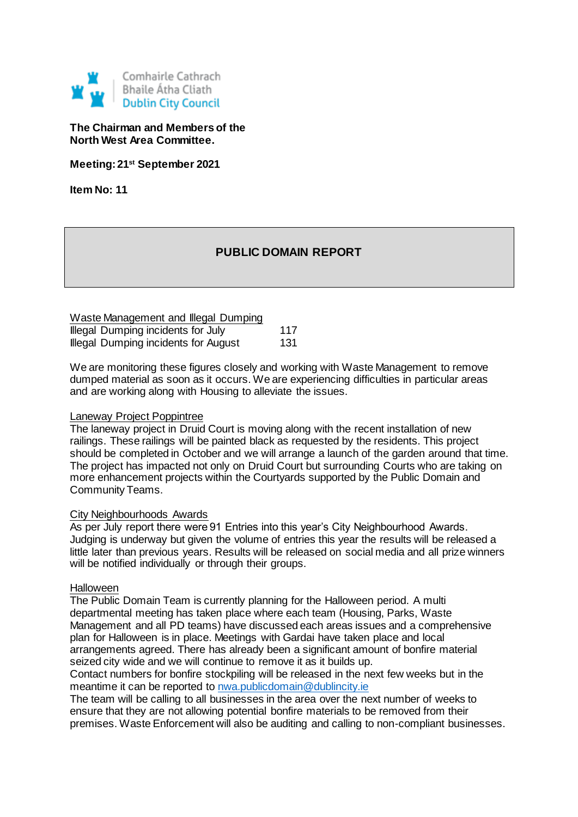

## **The Chairman and Members of the North West Area Committee.**

**Meeting: 21st September 2021**

**Item No: 11**

# **PUBLIC DOMAIN REPORT**

| Waste Management and Illegal Dumping        |     |
|---------------------------------------------|-----|
| Illegal Dumping incidents for July          | 117 |
| <b>Illegal Dumping incidents for August</b> | 131 |

We are monitoring these figures closely and working with Waste Management to remove dumped material as soon as it occurs. We are experiencing difficulties in particular areas and are working along with Housing to alleviate the issues.

#### Laneway Project Poppintree

The laneway project in Druid Court is moving along with the recent installation of new railings. These railings will be painted black as requested by the residents. This project should be completed in October and we will arrange a launch of the garden around that time. The project has impacted not only on Druid Court but surrounding Courts who are taking on more enhancement projects within the Courtyards supported by the Public Domain and Community Teams.

#### City Neighbourhoods Awards

As per July report there were 91 Entries into this year's City Neighbourhood Awards. Judging is underway but given the volume of entries this year the results will be released a little later than previous years. Results will be released on social media and all prize winners will be notified individually or through their groups.

#### Halloween

The Public Domain Team is currently planning for the Halloween period. A multi departmental meeting has taken place where each team (Housing, Parks, Waste Management and all PD teams) have discussed each areas issues and a comprehensive plan for Halloween is in place. Meetings with Gardai have taken place and local arrangements agreed. There has already been a significant amount of bonfire material seized city wide and we will continue to remove it as it builds up.

Contact numbers for bonfire stockpiling will be released in the next few weeks but in the meantime it can be reported to [nwa.publicdomain@dublincity.ie](mailto:nwa.publicdomain@dublincity.ie)

The team will be calling to all businesses in the area over the next number of weeks to ensure that they are not allowing potential bonfire materials to be removed from their premises. Waste Enforcement will also be auditing and calling to non-compliant businesses.